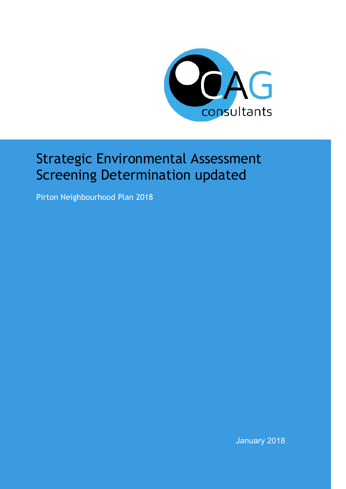

# Strategic Environmental Assessment Screening Determination updated

Pirton Neighbourhood Plan 2018

January 2018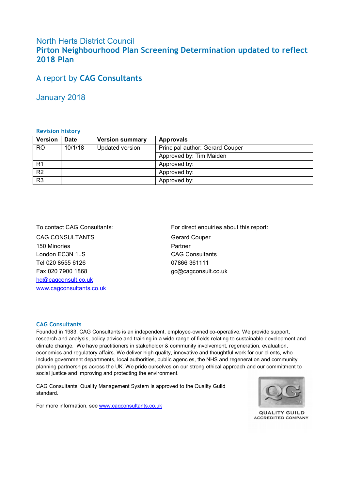#### North Herts District Council **Pirton Neighbourhood Plan Screening Determination updated to reflect 2018 Plan**

#### A report by **CAG Consultants**

January 2018

#### **Revision history**

| Version        | Date    | <b>Version summary</b> | <b>Approvals</b>                |
|----------------|---------|------------------------|---------------------------------|
| <b>RO</b>      | 10/1/18 | Updated version        | Principal author: Gerard Couper |
|                |         |                        | Approved by: Tim Maiden         |
| R <sub>1</sub> |         |                        | Approved by:                    |
| R <sub>2</sub> |         |                        | Approved by:                    |
| R <sub>3</sub> |         |                        | Approved by:                    |

CAG CONSULTANTS 150 Minories London EC3N 1LS Tel 020 8555 6126 Fax 020 7900 1868 hq@cagconsult.co.uk www.cagconsultants.co.uk

To contact CAG Consultants: For direct enquiries about this report: Gerard Couper Partner CAG Consultants 07866 361111 gc@cagconsult.co.uk

#### **CAG Consultants**

Founded in 1983, CAG Consultants is an independent, employee-owned co-operative. We provide support, research and analysis, policy advice and training in a wide range of fields relating to sustainable development and climate change. We have practitioners in stakeholder & community involvement, regeneration, evaluation, economics and regulatory affairs. We deliver high quality, innovative and thoughtful work for our clients, who include government departments, local authorities, public agencies, the NHS and regeneration and community planning partnerships across the UK. We pride ourselves on our strong ethical approach and our commitment to social justice and improving and protecting the environment.

CAG Consultants' Quality Management System is approved to the Quality Guild standard.



**QUALITY GUILD ACCREDITED COMPANY** 

For more information, see www.cagconsultants.co.uk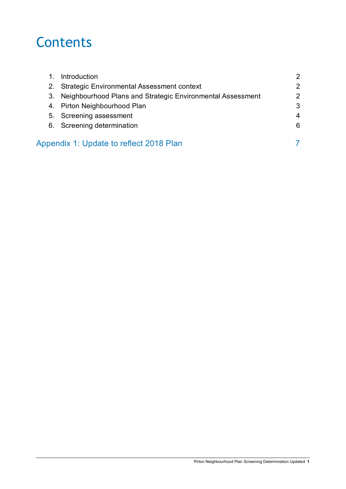# **Contents**

|    | Introduction                                               | 2 |
|----|------------------------------------------------------------|---|
| 2. | <b>Strategic Environmental Assessment context</b>          | 2 |
| 3. | Neighbourhood Plans and Strategic Environmental Assessment | 2 |
|    | 4. Pirton Neighbourhood Plan                               | 3 |
|    | 5. Screening assessment                                    | 4 |
|    | 6. Screening determination                                 | 6 |
|    |                                                            |   |
|    | Appendix 1: Update to reflect 2018 Plan                    |   |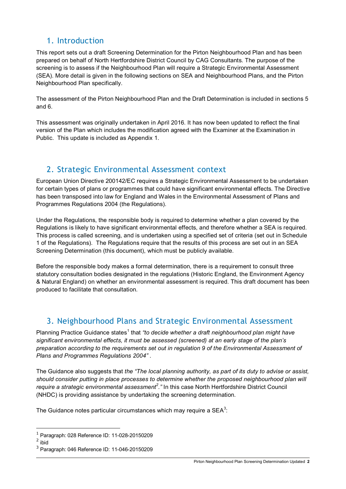### 1. Introduction

This report sets out a draft Screening Determination for the Pirton Neighbourhood Plan and has been prepared on behalf of North Hertfordshire District Council by CAG Consultants. The purpose of the screening is to assess if the Neighbourhood Plan will require a Strategic Environmental Assessment (SEA). More detail is given in the following sections on SEA and Neighbourhood Plans, and the Pirton Neighbourhood Plan specifically.

The assessment of the Pirton Neighbourhood Plan and the Draft Determination is included in sections 5 and 6.

This assessment was originally undertaken in April 2016. It has now been updated to reflect the final version of the Plan which includes the modification agreed with the Examiner at the Examination in Public. This update is included as Appendix 1.

## 2. Strategic Environmental Assessment context

European Union Directive 200142/EC requires a Strategic Environmental Assessment to be undertaken for certain types of plans or programmes that could have significant environmental effects. The Directive has been transposed into law for England and Wales in the Environmental Assessment of Plans and Programmes Regulations 2004 (the Regulations).

Under the Regulations, the responsible body is required to determine whether a plan covered by the Regulations is likely to have significant environmental effects, and therefore whether a SEA is required. This process is called screening, and is undertaken using a specified set of criteria (set out in Schedule 1 of the Regulations). The Regulations require that the results of this process are set out in an SEA Screening Determination (this document), which must be publicly available.

Before the responsible body makes a formal determination, there is a requirement to consult three statutory consultation bodies designated in the regulations (Historic England, the Environment Agency & Natural England) on whether an environmental assessment is required. This draft document has been produced to facilitate that consultation.

## 3. Neighbourhood Plans and Strategic Environmental Assessment

Planning Practice Guidance states<sup>1</sup> that "to decide whether a draft neighbourhood plan might have *significant environmental effects, it must be assessed (screened) at an early stage of the plan's preparation according to the requirements set out in regulation 9 of the Environmental Assessment of Plans and Programmes Regulations 2004"* .

The Guidance also suggests that *the "The local planning authority, as part of its duty to advise or assist, should consider putting in place processes to determine whether the proposed neighbourhood plan will require a strategic environmental assessment<sup>2</sup> ."* In this case North Hertfordshire District Council (NHDC) is providing assistance by undertaking the screening determination.

The Guidance notes particular circumstances which may require a SEA $3$ :

 1 Paragraph: 028 Reference ID: 11-028-20150209

<sup>2</sup> ibid

<sup>3</sup> Paragraph: 046 Reference ID: 11-046-20150209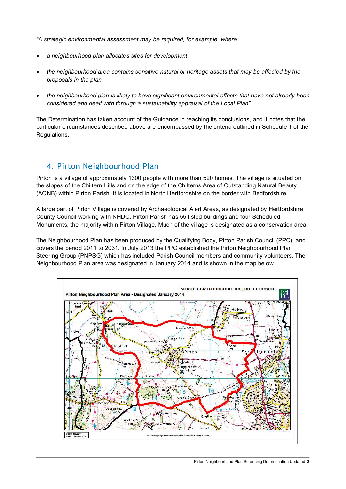*"A strategic environmental assessment may be required, for example, where:* 

- *a neighbourhood plan allocates sites for development*
- *the neighbourhood area contains sensitive natural or heritage assets that may be affected by the proposals in the plan*
- *the neighbourhood plan is likely to have significant environmental effects that have not already been considered and dealt with through a sustainability appraisal of the Local Plan".*

The Determination has taken account of the Guidance in reaching its conclusions, and it notes that the particular circumstances described above are encompassed by the criteria outlined in Schedule 1 of the Regulations.

### 4. Pirton Neighbourhood Plan

Pirton is a village of approximately 1300 people with more than 520 homes. The village is situated on the slopes of the Chiltern Hills and on the edge of the Chilterns Area of Outstanding Natural Beauty (AONB) within Pirton Parish. It is located in North Hertfordshire on the border with Bedfordshire.

A large part of Pirton Village is covered by Archaeological Alert Areas, as designated by Hertfordshire County Council working with NHDC. Pirton Parish has 55 listed buildings and four Scheduled Monuments, the majority within Pirton Village. Much of the village is designated as a conservation area.

The Neighbourhood Plan has been produced by the Qualifying Body, Pirton Parish Council (PPC), and covers the period 2011 to 2031. In July 2013 the PPC established the Pirton Neighbourhood Plan Steering Group (PNPSG) which has included Parish Council members and community volunteers. The Neighbourhood Plan area was designated in January 2014 and is shown in the map below.

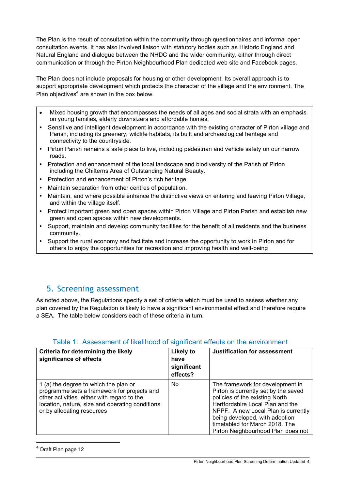The Plan is the result of consultation within the community through questionnaires and informal open consultation events. It has also involved liaison with statutory bodies such as Historic England and Natural England and dialogue between the NHDC and the wider community, either through direct communication or through the Pirton Neighbourhood Plan dedicated web site and Facebook pages.

The Plan does not include proposals for housing or other development. Its overall approach is to support appropriate development which protects the character of the village and the environment. The Plan objectives $4$  are shown in the box below.

- Mixed housing growth that encompasses the needs of all ages and social strata with an emphasis on young families, elderly downsizers and affordable homes.
- Sensitive and intelligent development in accordance with the existing character of Pirton village and Parish, including its greenery, wildlife habitats, its built and archaeological heritage and connectivity to the countryside.
- Pirton Parish remains a safe place to live, including pedestrian and vehicle safety on our narrow roads.
- Protection and enhancement of the local landscape and biodiversity of the Parish of Pirton including the Chilterns Area of Outstanding Natural Beauty.
- Protection and enhancement of Pirton's rich heritage.
- Maintain separation from other centres of population.
- Maintain, and where possible enhance the distinctive views on entering and leaving Pirton Village, and within the village itself.
- Protect important green and open spaces within Pirton Village and Pirton Parish and establish new green and open spaces within new developments.
- Support, maintain and develop community facilities for the benefit of all residents and the business community.
- Support the rural economy and facilitate and increase the opportunity to work in Pirton and for others to enjoy the opportunities for recreation and improving health and well-being

#### 5. Screening assessment

As noted above, the Regulations specify a set of criteria which must be used to assess whether any plan covered by the Regulation is likely to have a significant environmental effect and therefore require a SEA. The table below considers each of these criteria in turn.

| Criteria for determining the likely<br>significance of effects                                                                                                                                                       | Likely to<br>have<br>significant<br>effects? | <b>Justification for assessment</b>                                                                                                                                                                                                                                                             |
|----------------------------------------------------------------------------------------------------------------------------------------------------------------------------------------------------------------------|----------------------------------------------|-------------------------------------------------------------------------------------------------------------------------------------------------------------------------------------------------------------------------------------------------------------------------------------------------|
| 1 (a) the degree to which the plan or<br>programme sets a framework for projects and<br>other activities, either with regard to the<br>location, nature, size and operating conditions<br>or by allocating resources | No                                           | The framework for development in<br>Pirton is currently set by the saved<br>policies of the existing North<br>Hertfordshire Local Plan and the<br>NPPF. A new Local Plan is currently<br>being developed, with adoption<br>timetabled for March 2018. The<br>Pirton Neighbourhood Plan does not |

#### Table 1: Assessment of likelihood of significant effects on the environment

 $\overline{a}$ <sup>4</sup> Draft Plan page 12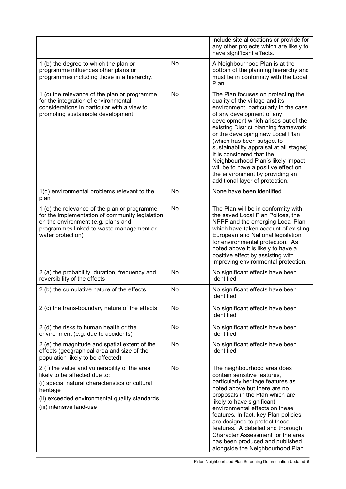|                                                                                                                                                                                                                            |           | include site allocations or provide for<br>any other projects which are likely to<br>have significant effects.                                                                                                                                                                                                                                                                                                                                                                                                           |
|----------------------------------------------------------------------------------------------------------------------------------------------------------------------------------------------------------------------------|-----------|--------------------------------------------------------------------------------------------------------------------------------------------------------------------------------------------------------------------------------------------------------------------------------------------------------------------------------------------------------------------------------------------------------------------------------------------------------------------------------------------------------------------------|
| 1 (b) the degree to which the plan or<br>programme influences other plans or<br>programmes including those in a hierarchy.                                                                                                 | <b>No</b> | A Neighbourhood Plan is at the<br>bottom of the planning hierarchy and<br>must be in conformity with the Local<br>Plan.                                                                                                                                                                                                                                                                                                                                                                                                  |
| 1 (c) the relevance of the plan or programme<br>for the integration of environmental<br>considerations in particular with a view to<br>promoting sustainable development                                                   | <b>No</b> | The Plan focuses on protecting the<br>quality of the village and its<br>environment, particularly in the case<br>of any development of any<br>development which arises out of the<br>existing District planning framework<br>or the developing new Local Plan<br>(which has been subject to<br>sustainability appraisal at all stages).<br>It is considered that the<br>Neighbourhood Plan's likely impact<br>will be to have a positive effect on<br>the environment by providing an<br>additional layer of protection. |
| 1(d) environmental problems relevant to the<br>plan                                                                                                                                                                        | No        | None have been identified                                                                                                                                                                                                                                                                                                                                                                                                                                                                                                |
| 1 (e) the relevance of the plan or programme<br>for the implementation of community legislation<br>on the environment (e.g. plans and<br>programmes linked to waste management or<br>water protection)                     | <b>No</b> | The Plan will be in conformity with<br>the saved Local Plan Polices, the<br>NPPF and the emerging Local Plan<br>which have taken account of existing<br>European and National legislation<br>for environmental protection. As<br>noted above it is likely to have a<br>positive effect by assisting with<br>improving environmental protection.                                                                                                                                                                          |
| 2 (a) the probability, duration, frequency and<br>reversibility of the effects                                                                                                                                             | <b>No</b> | No significant effects have been<br>identified                                                                                                                                                                                                                                                                                                                                                                                                                                                                           |
| 2 (b) the cumulative nature of the effects                                                                                                                                                                                 | <b>No</b> | No significant effects have been<br>identified                                                                                                                                                                                                                                                                                                                                                                                                                                                                           |
| 2 (c) the trans-boundary nature of the effects                                                                                                                                                                             | No        | No significant effects have been<br>identified                                                                                                                                                                                                                                                                                                                                                                                                                                                                           |
| 2 (d) the risks to human health or the<br>environment (e.g. due to accidents)                                                                                                                                              | <b>No</b> | No significant effects have been<br>identified                                                                                                                                                                                                                                                                                                                                                                                                                                                                           |
| 2 (e) the magnitude and spatial extent of the<br>effects (geographical area and size of the<br>population likely to be affected)                                                                                           | No.       | No significant effects have been<br>identified                                                                                                                                                                                                                                                                                                                                                                                                                                                                           |
| 2 (f) the value and vulnerability of the area<br>likely to be affected due to:<br>(i) special natural characteristics or cultural<br>heritage<br>(ii) exceeded environmental quality standards<br>(iii) intensive land-use | <b>No</b> | The neighbourhood area does<br>contain sensitive features,<br>particularly heritage features as<br>noted above but there are no<br>proposals in the Plan which are<br>likely to have significant<br>environmental effects on these<br>features. In fact, key Plan policies<br>are designed to protect these<br>features. A detailed and thorough<br>Character Assessment for the area<br>has been produced and published<br>alongside the Neighbourhood Plan.                                                            |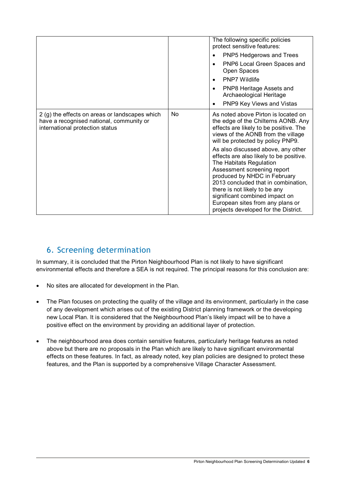|                                                                                                                               |     | The following specific policies                                                                                                                                                                                                                                                                                                                               |
|-------------------------------------------------------------------------------------------------------------------------------|-----|---------------------------------------------------------------------------------------------------------------------------------------------------------------------------------------------------------------------------------------------------------------------------------------------------------------------------------------------------------------|
|                                                                                                                               |     | protect sensitive features:                                                                                                                                                                                                                                                                                                                                   |
|                                                                                                                               |     | PNP5 Hedgerows and Trees                                                                                                                                                                                                                                                                                                                                      |
|                                                                                                                               |     | PNP6 Local Green Spaces and<br>Open Spaces                                                                                                                                                                                                                                                                                                                    |
|                                                                                                                               |     | <b>PNP7 Wildlife</b>                                                                                                                                                                                                                                                                                                                                          |
|                                                                                                                               |     | PNP8 Heritage Assets and<br>$\bullet$<br>Archaeological Heritage                                                                                                                                                                                                                                                                                              |
|                                                                                                                               |     | PNP9 Key Views and Vistas                                                                                                                                                                                                                                                                                                                                     |
| 2 (g) the effects on areas or landscapes which<br>have a recognised national, community or<br>international protection status | No. | As noted above Pirton is located on<br>the edge of the Chilterns AONB. Any<br>effects are likely to be positive. The<br>views of the AONB from the village<br>will be protected by policy PNP9.                                                                                                                                                               |
|                                                                                                                               |     | As also discussed above, any other<br>effects are also likely to be positive.<br>The Habitats Regulation<br>Assessment screening report<br>produced by NHDC in February<br>2013 concluded that in combination,<br>there is not likely to be any<br>significant combined impact on<br>European sites from any plans or<br>projects developed for the District. |

## 6. Screening determination

In summary, it is concluded that the Pirton Neighbourhood Plan is not likely to have significant environmental effects and therefore a SEA is not required. The principal reasons for this conclusion are:

- No sites are allocated for development in the Plan.
- The Plan focuses on protecting the quality of the village and its environment, particularly in the case of any development which arises out of the existing District planning framework or the developing new Local Plan. It is considered that the Neighbourhood Plan's likely impact will be to have a positive effect on the environment by providing an additional layer of protection.
- The neighbourhood area does contain sensitive features, particularly heritage features as noted above but there are no proposals in the Plan which are likely to have significant environmental effects on these features. In fact, as already noted, key plan policies are designed to protect these features, and the Plan is supported by a comprehensive Village Character Assessment.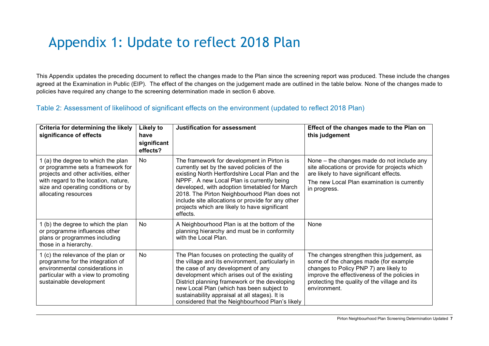# Appendix 1: Update to reflect 2018 Plan

This Appendix updates the preceding document to reflect the changes made to the Plan since the screening report was produced. These include the changes agreed at the Examination in Public (EIP). The effect of the changes on the judgement made are outlined in the table below. None of the changes made to policies have required any change to the screening determination made in section 6 above.

#### Table 2: Assessment of likelihood of significant effects on the environment (updated to reflect 2018 Plan)

| Criteria for determining the likely<br>significance of effects                                                                                                                                                          | Likely to<br>have<br>significant<br>effects? | <b>Justification for assessment</b>                                                                                                                                                                                                                                                                                                                                                                         | Effect of the changes made to the Plan on<br>this judgement                                                                                                                                                                                   |
|-------------------------------------------------------------------------------------------------------------------------------------------------------------------------------------------------------------------------|----------------------------------------------|-------------------------------------------------------------------------------------------------------------------------------------------------------------------------------------------------------------------------------------------------------------------------------------------------------------------------------------------------------------------------------------------------------------|-----------------------------------------------------------------------------------------------------------------------------------------------------------------------------------------------------------------------------------------------|
| 1 (a) the degree to which the plan<br>or programme sets a framework for<br>projects and other activities, either<br>with regard to the location, nature,<br>size and operating conditions or by<br>allocating resources | <b>No</b>                                    | The framework for development in Pirton is<br>currently set by the saved policies of the<br>existing North Hertfordshire Local Plan and the<br>NPPF. A new Local Plan is currently being<br>developed, with adoption timetabled for March<br>2018. The Pirton Neighbourhood Plan does not<br>include site allocations or provide for any other<br>projects which are likely to have significant<br>effects. | None – the changes made do not include any<br>site allocations or provide for projects which<br>are likely to have significant effects.<br>The new Local Plan examination is currently<br>in progress.                                        |
| 1 (b) the degree to which the plan<br>or programme influences other<br>plans or programmes including<br>those in a hierarchy.                                                                                           | <b>No</b>                                    | A Neighbourhood Plan is at the bottom of the<br>planning hierarchy and must be in conformity<br>with the Local Plan.                                                                                                                                                                                                                                                                                        | None                                                                                                                                                                                                                                          |
| 1 (c) the relevance of the plan or<br>programme for the integration of<br>environmental considerations in<br>particular with a view to promoting<br>sustainable development                                             | <b>No</b>                                    | The Plan focuses on protecting the quality of<br>the village and its environment, particularly in<br>the case of any development of any<br>development which arises out of the existing<br>District planning framework or the developing<br>new Local Plan (which has been subject to<br>sustainability appraisal at all stages). It is<br>considered that the Neighbourhood Plan's likely                  | The changes strengthen this judgement, as<br>some of the changes made (for example<br>changes to Policy PNP 7) are likely to<br>improve the effectiveness of the policies in<br>protecting the quality of the village and its<br>environment. |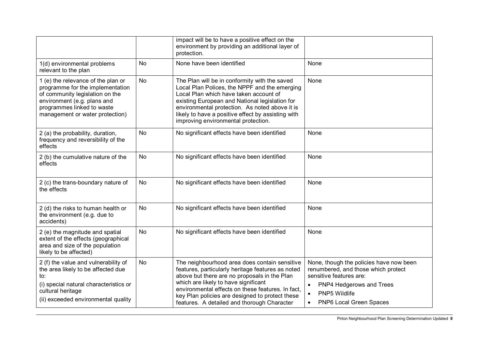|                                                                                                                                                                                                           |           | impact will be to have a positive effect on the<br>environment by providing an additional layer of<br>protection.                                                                                                                                                                                                                                 |                                                                                                                                                                                                             |
|-----------------------------------------------------------------------------------------------------------------------------------------------------------------------------------------------------------|-----------|---------------------------------------------------------------------------------------------------------------------------------------------------------------------------------------------------------------------------------------------------------------------------------------------------------------------------------------------------|-------------------------------------------------------------------------------------------------------------------------------------------------------------------------------------------------------------|
| 1(d) environmental problems<br>relevant to the plan                                                                                                                                                       | <b>No</b> | None have been identified                                                                                                                                                                                                                                                                                                                         | None                                                                                                                                                                                                        |
| 1 (e) the relevance of the plan or<br>programme for the implementation<br>of community legislation on the<br>environment (e.g. plans and<br>programmes linked to waste<br>management or water protection) | <b>No</b> | The Plan will be in conformity with the saved<br>Local Plan Polices, the NPPF and the emerging<br>Local Plan which have taken account of<br>existing European and National legislation for<br>environmental protection. As noted above it is<br>likely to have a positive effect by assisting with<br>improving environmental protection.         | None                                                                                                                                                                                                        |
| 2 (a) the probability, duration,<br>frequency and reversibility of the<br>effects                                                                                                                         | <b>No</b> | No significant effects have been identified                                                                                                                                                                                                                                                                                                       | None                                                                                                                                                                                                        |
| 2 (b) the cumulative nature of the<br>effects                                                                                                                                                             | No        | No significant effects have been identified                                                                                                                                                                                                                                                                                                       | None                                                                                                                                                                                                        |
| 2 (c) the trans-boundary nature of<br>the effects                                                                                                                                                         | <b>No</b> | No significant effects have been identified                                                                                                                                                                                                                                                                                                       | None                                                                                                                                                                                                        |
| 2 (d) the risks to human health or<br>the environment (e.g. due to<br>accidents)                                                                                                                          | No        | No significant effects have been identified                                                                                                                                                                                                                                                                                                       | None                                                                                                                                                                                                        |
| 2 (e) the magnitude and spatial<br>extent of the effects (geographical<br>area and size of the population<br>likely to be affected)                                                                       | <b>No</b> | No significant effects have been identified                                                                                                                                                                                                                                                                                                       | None                                                                                                                                                                                                        |
| 2 (f) the value and vulnerability of<br>the area likely to be affected due<br>to:<br>(i) special natural characteristics or<br>cultural heritage<br>(ii) exceeded environmental quality                   | <b>No</b> | The neighbourhood area does contain sensitive<br>features, particularly heritage features as noted<br>above but there are no proposals in the Plan<br>which are likely to have significant<br>environmental effects on these features. In fact,<br>key Plan policies are designed to protect these<br>features. A detailed and thorough Character | None, though the policies have now been<br>renumbered, and those which protect<br>sensitive features are:<br>PNP4 Hedgerows and Trees<br>PNP5 Wildlife<br>$\bullet$<br>PNP6 Local Green Spaces<br>$\bullet$ |